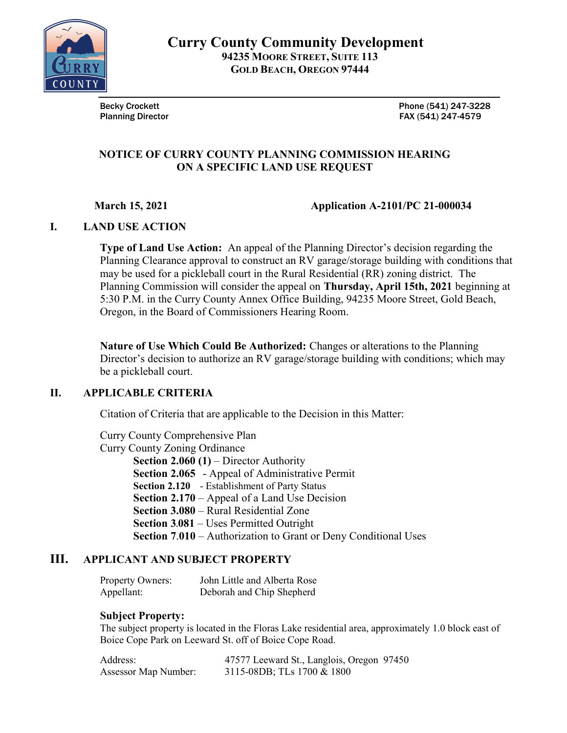

Becky Crockett **Phone (541)** 247-3228 Planning Director **FAX (541)** 247-4579

#### NOTICE OF CURRY COUNTY PLANNING COMMISSION HEARING ON A SPECIFIC LAND USE REQUEST

March 15, 2021 **Application A-2101/PC 21-000034** 

## I. LAND USE ACTION

Type of Land Use Action: An appeal of the Planning Director's decision regarding the Planning Clearance approval to construct an RV garage/storage building with conditions that may be used for a pickleball court in the Rural Residential (RR) zoning district. The Planning Commission will consider the appeal on Thursday, April 15th, 2021 beginning at 5:30 P.M. in the Curry County Annex Office Building, 94235 Moore Street, Gold Beach, Oregon, in the Board of Commissioners Hearing Room.

Nature of Use Which Could Be Authorized: Changes or alterations to the Planning Director's decision to authorize an RV garage/storage building with conditions; which may be a pickleball court.

## II. APPLICABLE CRITERIA

Citation of Criteria that are applicable to the Decision in this Matter:

Curry County Comprehensive Plan

Curry County Zoning Ordinance

Section 2.060 (1) – Director Authority

Section 2.065 - Appeal of Administrative Permit

Section 2.120 - Establishment of Party Status

Section 2.170 – Appeal of a Land Use Decision

Section 3.080 – Rural Residential Zone

Section 3.081 – Uses Permitted Outright

Section 7.010 – Authorization to Grant or Deny Conditional Uses

## III. APPLICANT AND SUBJECT PROPERTY

Property Owners: John Little and Alberta Rose Appellant: Deborah and Chip Shepherd

## Subject Property:

The subject property is located in the Floras Lake residential area, approximately 1.0 block east of Boice Cope Park on Leeward St. off of Boice Cope Road.

| Address:                    | 47577 Leeward St., Langlois, Oregon 97450 |
|-----------------------------|-------------------------------------------|
| <b>Assessor Map Number:</b> | 3115-08DB; TLs 1700 & 1800                |